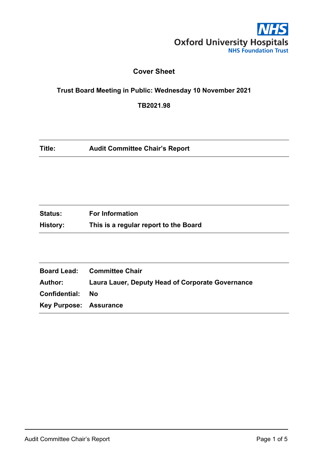

# **Cover Sheet**

## **Trust Board Meeting in Public: Wednesday 10 November 2021**

**TB2021.98**

| Title: | <b>Audit Committee Chair's Report</b> |  |
|--------|---------------------------------------|--|
|--------|---------------------------------------|--|

| <b>Status:</b> | <b>For Information</b>                |
|----------------|---------------------------------------|
| History:       | This is a regular report to the Board |

|                               | <b>Board Lead: Committee Chair</b>               |
|-------------------------------|--------------------------------------------------|
| Author:                       | Laura Lauer, Deputy Head of Corporate Governance |
| Confidential:                 | - No                                             |
| <b>Key Purpose: Assurance</b> |                                                  |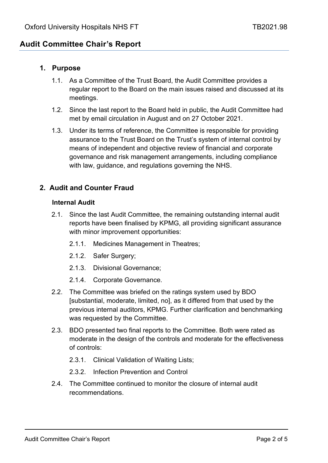# **Audit Committee Chair's Report**

### **1. Purpose**

- 1.1. As a Committee of the Trust Board, the Audit Committee provides a regular report to the Board on the main issues raised and discussed at its meetings.
- 1.2. Since the last report to the Board held in public, the Audit Committee had met by email circulation in August and on 27 October 2021.
- 1.3. Under its terms of reference, the Committee is responsible for providing assurance to the Trust Board on the Trust's system of internal control by means of independent and objective review of financial and corporate governance and risk management arrangements, including compliance with law, guidance, and regulations governing the NHS.

### **2. Audit and Counter Fraud**

#### **Internal Audit**

- 2.1. Since the last Audit Committee, the remaining outstanding internal audit reports have been finalised by KPMG, all providing significant assurance with minor improvement opportunities:
	- 2.1.1. Medicines Management in Theatres;
	- 2.1.2. Safer Surgery;
	- 2.1.3. Divisional Governance;
	- 2.1.4. Corporate Governance.
- 2.2. The Committee was briefed on the ratings system used by BDO [substantial, moderate, limited, no], as it differed from that used by the previous internal auditors, KPMG. Further clarification and benchmarking was requested by the Committee.
- 2.3. BDO presented two final reports to the Committee. Both were rated as moderate in the design of the controls and moderate for the effectiveness of controls:
	- 2.3.1. Clinical Validation of Waiting Lists;
	- 2.3.2. Infection Prevention and Control
- 2.4. The Committee continued to monitor the closure of internal audit recommendations.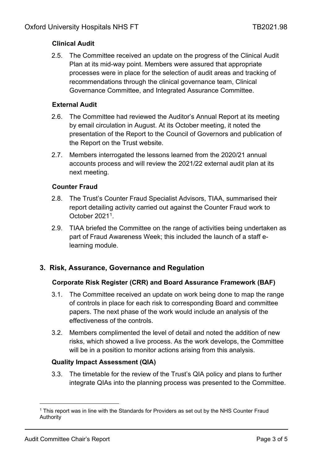## **Clinical Audit**

2.5. The Committee received an update on the progress of the Clinical Audit Plan at its mid-way point. Members were assured that appropriate processes were in place for the selection of audit areas and tracking of recommendations through the clinical governance team, Clinical Governance Committee, and Integrated Assurance Committee.

### **External Audit**

- 2.6. The Committee had reviewed the Auditor's Annual Report at its meeting by email circulation in August. At its October meeting, it noted the presentation of the Report to the Council of Governors and publication of the Report on the Trust website.
- 2.7. Members interrogated the lessons learned from the 2020/21 annual accounts process and will review the 2021/22 external audit plan at its next meeting.

### **Counter Fraud**

- 2.8. The Trust's Counter Fraud Specialist Advisors, TIAA, summarised their report detailing activity carried out against the Counter Fraud work to October 2021[1.](#page-2-0)
- 2.9. TIAA briefed the Committee on the range of activities being undertaken as part of Fraud Awareness Week; this included the launch of a staff elearning module.

## **3. Risk, Assurance, Governance and Regulation**

## **Corporate Risk Register (CRR) and Board Assurance Framework (BAF)**

- 3.1. The Committee received an update on work being done to map the range of controls in place for each risk to corresponding Board and committee papers. The next phase of the work would include an analysis of the effectiveness of the controls.
- 3.2. Members complimented the level of detail and noted the addition of new risks, which showed a live process. As the work develops, the Committee will be in a position to monitor actions arising from this analysis.

## **Quality Impact Assessment (QIA)**

3.3. The timetable for the review of the Trust's QIA policy and plans to further integrate QIAs into the planning process was presented to the Committee.

<span id="page-2-0"></span><sup>1</sup> This report was in line with the Standards for Providers as set out by the NHS Counter Fraud Authority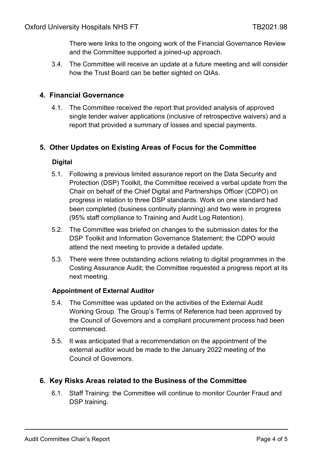There were links to the ongoing work of the Financial Governance Review and the Committee supported a joined-up approach.

3.4. The Committee will receive an update at a future meeting and will consider how the Trust Board can be better sighted on QIAs.

### **4. Financial Governance**

4.1. The Committee received the report that provided analysis of approved single tender waiver applications (inclusive of retrospective waivers) and a report that provided a summary of losses and special payments.

### **5. Other Updates on Existing Areas of Focus for the Committee**

### **Digital**

- 5.1. Following a previous limited assurance report on the Data Security and Protection (DSP) Toolkit, the Committee received a verbal update from the Chair on behalf of the Chief Digital and Partnerships Officer (CDPO) on progress in relation to three DSP standards. Work on one standard had been completed (business continuity planning) and two were in progress (95% staff compliance to Training and Audit Log Retention).
- 5.2. The Committee was briefed on changes to the submission dates for the DSP Toolkit and Information Governance Statement; the CDPO would attend the next meeting to provide a detailed update.
- 5.3. There were three outstanding actions relating to digital programmes in the Costing Assurance Audit; the Committee requested a progress report at its next meeting.

### **Appointment of External Auditor**

- 5.4. The Committee was updated on the activities of the External Audit Working Group. The Group's Terms of Reference had been approved by the Council of Governors and a compliant procurement process had been commenced.
- 5.5. It was anticipated that a recommendation on the appointment of the external auditor would be made to the January 2022 meeting of the Council of Governors.

### **6. Key Risks Areas related to the Business of the Committee**

6.1. Staff Training: the Committee will continue to monitor Counter Fraud and DSP training.